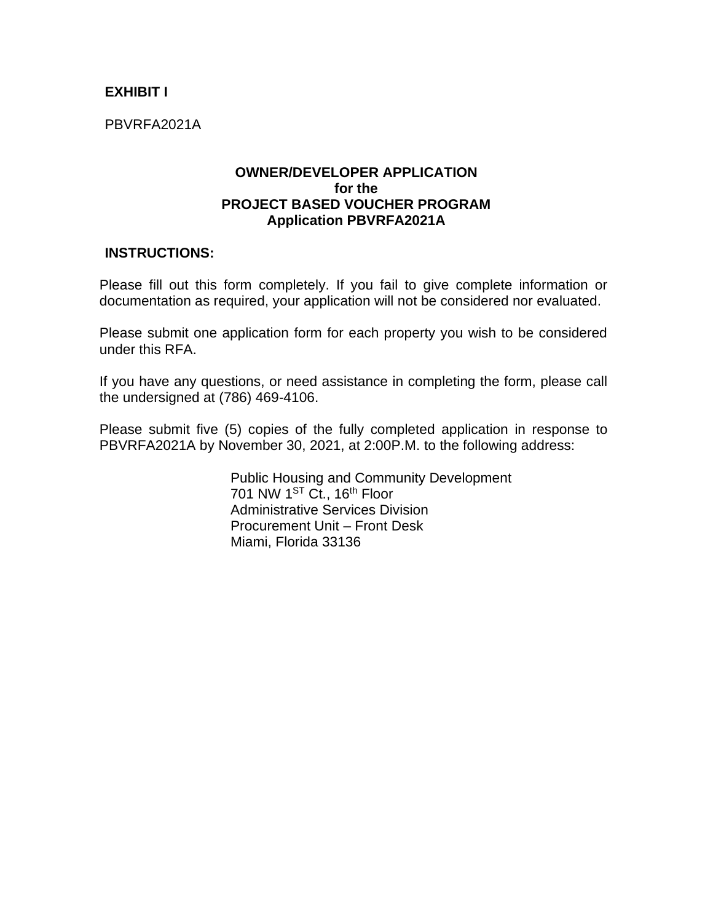## **EXHIBIT I**

PBVRFA2021A

#### **OWNER/DEVELOPER APPLICATION for the PROJECT BASED VOUCHER PROGRAM Application PBVRFA2021A**

#### **INSTRUCTIONS:**

Please fill out this form completely. If you fail to give complete information or documentation as required, your application will not be considered nor evaluated.

Please submit one application form for each property you wish to be considered under this RFA.

If you have any questions, or need assistance in completing the form, please call the undersigned at (786) 469-4106.

Please submit five (5) copies of the fully completed application in response to PBVRFA2021A by November 30, 2021, at 2:00P.M. to the following address:

> Public Housing and Community Development 701 NW 1<sup>ST</sup> Ct., 16<sup>th</sup> Floor Administrative Services Division Procurement Unit – Front Desk Miami, Florida 33136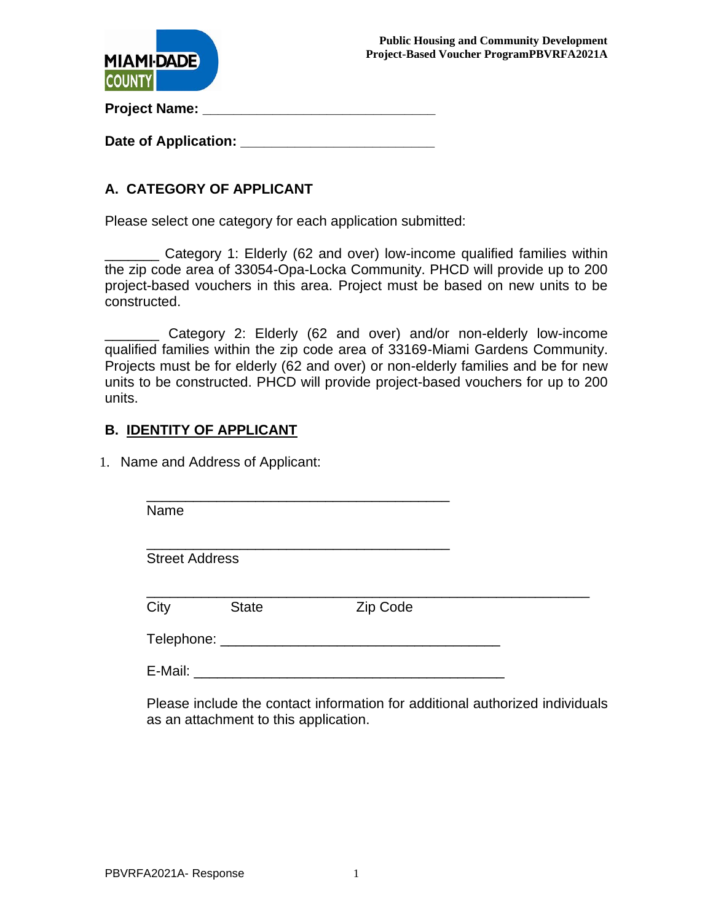



**Project Name: \_\_\_\_\_\_\_\_\_\_\_\_\_\_\_\_\_\_\_\_\_\_\_\_\_\_\_\_\_\_**

Date of Application: **Date of Application:** 

# **A. CATEGORY OF APPLICANT**

Please select one category for each application submitted:

\_\_\_\_\_\_\_ Category 1: Elderly (62 and over) low-income qualified families within the zip code area of 33054-Opa-Locka Community. PHCD will provide up to 200 project-based vouchers in this area. Project must be based on new units to be constructed.

\_\_\_\_\_\_\_ Category 2: Elderly (62 and over) and/or non-elderly low-income qualified families within the zip code area of 33169-Miami Gardens Community. Projects must be for elderly (62 and over) or non-elderly families and be for new units to be constructed. PHCD will provide project-based vouchers for up to 200 units.

## **B. IDENTITY OF APPLICANT**

1. Name and Address of Applicant:

| Name                  |              |          |  |
|-----------------------|--------------|----------|--|
| <b>Street Address</b> |              |          |  |
| City                  | <b>State</b> | Zip Code |  |
| Telephone:            |              |          |  |

E-Mail:  $\blacksquare$ 

Please include the contact information for additional authorized individuals as an attachment to this application.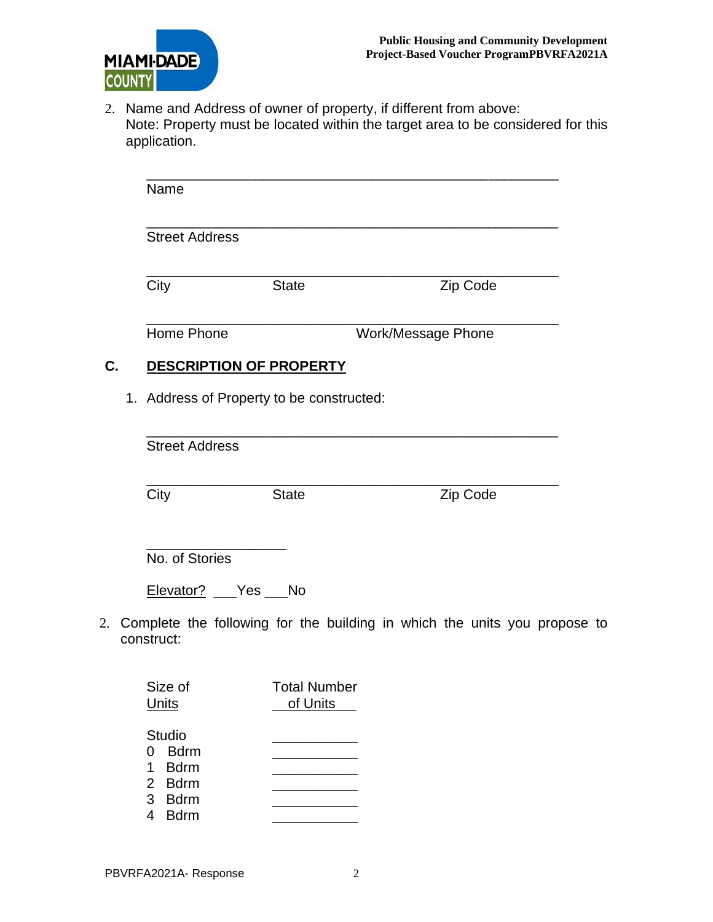

2. Name and Address of owner of property, if different from above: Note: Property must be located within the target area to be considered for this application.

|    | Name                                      |                                 |                                                                           |
|----|-------------------------------------------|---------------------------------|---------------------------------------------------------------------------|
|    |                                           |                                 |                                                                           |
|    | <b>Street Address</b>                     |                                 |                                                                           |
|    | City                                      | <b>State</b>                    | Zip Code                                                                  |
|    | Home Phone                                |                                 | Work/Message Phone                                                        |
| C. | DESCRIPTION OF PROPERTY                   |                                 |                                                                           |
|    | 1. Address of Property to be constructed: |                                 |                                                                           |
|    | <b>Street Address</b>                     |                                 |                                                                           |
|    | City                                      | <b>State</b>                    | Zip Code                                                                  |
|    | No. of Stories                            |                                 |                                                                           |
|    | Elevator? ___ Yes ___ No                  |                                 |                                                                           |
|    | construct:                                |                                 | Complete the following for the building in which the units you propose to |
|    | Size of<br><b>Units</b>                   | <b>Total Number</b><br>of Units |                                                                           |

Studio 0 Bdrm 1 Bdrm \_\_\_\_\_\_\_\_\_\_\_ 2 Bdrm \_\_\_\_\_\_\_\_\_\_\_ 3 Bdrm \_\_\_\_\_\_\_\_\_\_\_ 4 Bdrm \_\_\_\_\_\_\_\_\_\_\_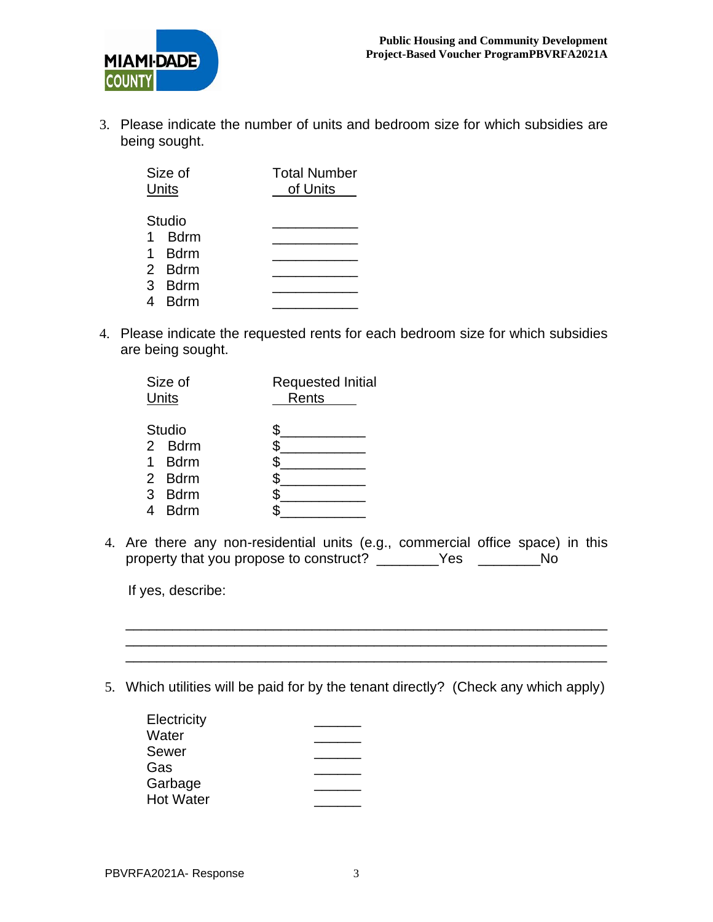

3. Please indicate the number of units and bedroom size for which subsidies are being sought.

| Size of<br>Units |              | <b>Total Number</b><br>of Units |  |
|------------------|--------------|---------------------------------|--|
|                  | Studio       |                                 |  |
|                  | 1 Bdrm       |                                 |  |
|                  | 1 Bdrm       |                                 |  |
|                  | 2 Bdrm       |                                 |  |
|                  | 3 Bdrm       |                                 |  |
| 4                | <b>B</b> drm |                                 |  |

4. Please indicate the requested rents for each bedroom size for which subsidies are being sought.

| Size of<br>Units |             | <b>Requested Initial</b><br>Rents |
|------------------|-------------|-----------------------------------|
|                  | Studio      |                                   |
|                  | 2 Bdrm      | \$                                |
|                  | 1 Bdrm      | \$                                |
|                  | 2 Bdrm      |                                   |
| 3                | Bdrm        | S                                 |
|                  | <b>Bdrm</b> |                                   |

4. Are there any non-residential units (e.g., commercial office space) in this property that you propose to construct? \_\_\_\_\_\_\_Yes \_\_\_\_\_\_No

If yes, describe:

5. Which utilities will be paid for by the tenant directly? (Check any which apply)

\_\_\_\_\_\_\_\_\_\_\_\_\_\_\_\_\_\_\_\_\_\_\_\_\_\_\_\_\_\_\_\_\_\_\_\_\_\_\_\_\_\_\_\_\_\_\_\_\_\_\_\_\_\_\_\_\_\_\_\_\_\_ \_\_\_\_\_\_\_\_\_\_\_\_\_\_\_\_\_\_\_\_\_\_\_\_\_\_\_\_\_\_\_\_\_\_\_\_\_\_\_\_\_\_\_\_\_\_\_\_\_\_\_\_\_\_\_\_\_\_\_\_\_\_ \_\_\_\_\_\_\_\_\_\_\_\_\_\_\_\_\_\_\_\_\_\_\_\_\_\_\_\_\_\_\_\_\_\_\_\_\_\_\_\_\_\_\_\_\_\_\_\_\_\_\_\_\_\_\_\_\_\_\_\_\_\_

| Electricity      |  |
|------------------|--|
| Water            |  |
| Sewer            |  |
| Gas              |  |
| Garbage          |  |
| <b>Hot Water</b> |  |
|                  |  |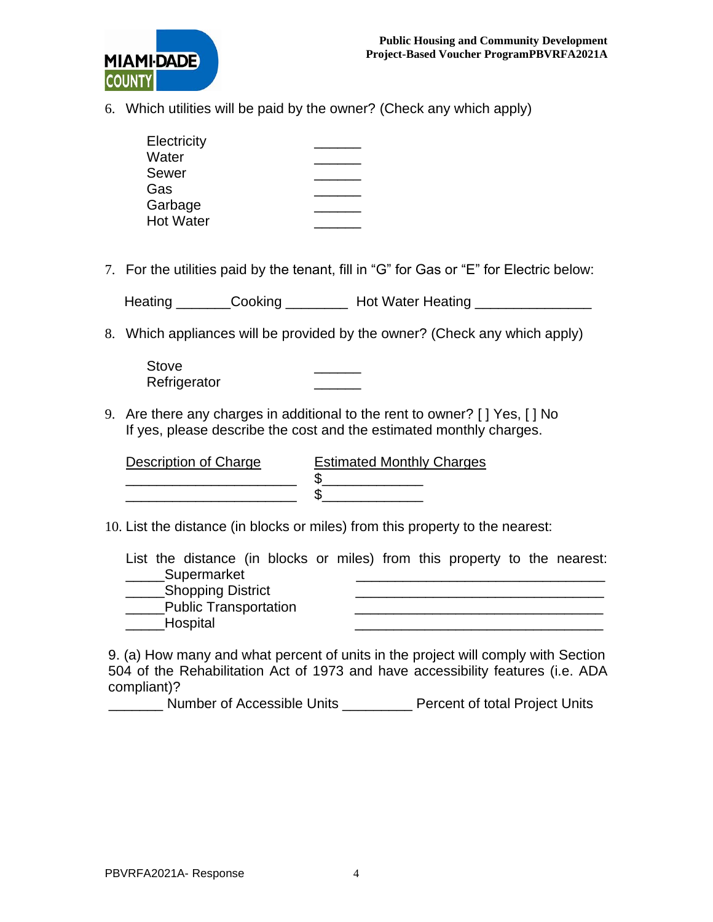

6. Which utilities will be paid by the owner? (Check any which apply)

| Electricity      |  |
|------------------|--|
| Water            |  |
| Sewer            |  |
| Gas              |  |
| Garbage          |  |
| <b>Hot Water</b> |  |

7. For the utilities paid by the tenant, fill in "G" for Gas or "E" for Electric below:

| Heating | Cooking | <b>Hot Water Heating</b> |  |
|---------|---------|--------------------------|--|
|---------|---------|--------------------------|--|

8. Which appliances will be provided by the owner? (Check any which apply)

Stove Refrigerator

9. Are there any charges in additional to the rent to owner? [ ] Yes, [ ] No If yes, please describe the cost and the estimated monthly charges.

| Description of Charge | <b>Estimated Monthly Charges</b> |
|-----------------------|----------------------------------|
|                       |                                  |
|                       |                                  |

10. List the distance (in blocks or miles) from this property to the nearest:

List the distance (in blocks or miles) from this property to the nearest:  $\sqrt{2}$ Supermarket

| <b>Shopping District</b> |  |
|--------------------------|--|
| Public Transportation    |  |
| Hospital                 |  |
|                          |  |

9. (a) How many and what percent of units in the project will comply with Section 504 of the Rehabilitation Act of 1973 and have accessibility features (i.e. ADA compliant)?

\_\_\_\_\_\_\_ Number of Accessible Units \_\_\_\_\_\_\_\_\_ Percent of total Project Units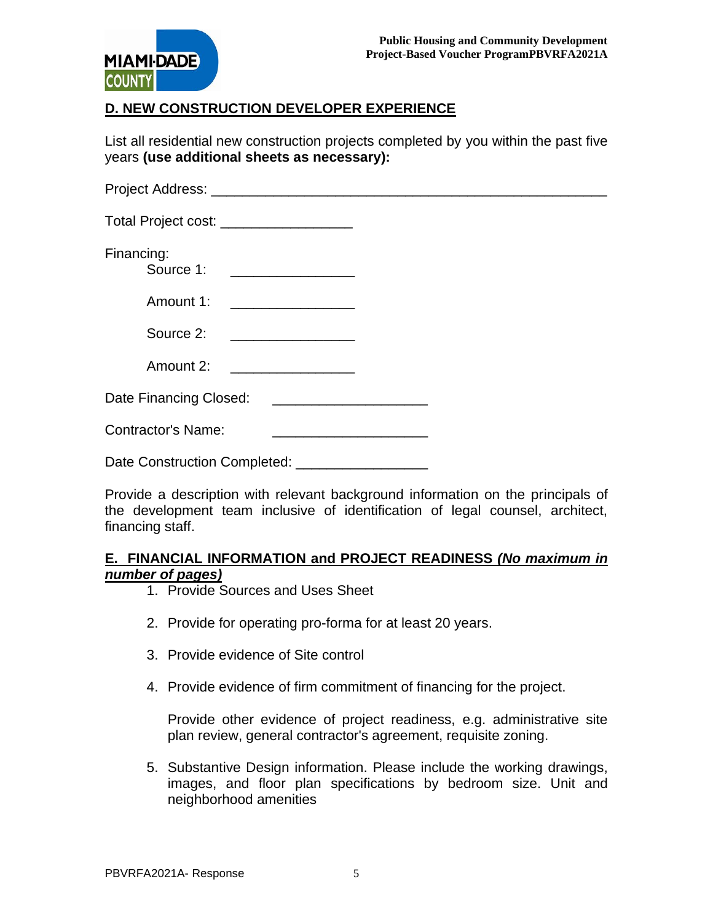

# **D. NEW CONSTRUCTION DEVELOPER EXPERIENCE**

List all residential new construction projects completed by you within the past five years **(use additional sheets as necessary):**

| Total Project cost: _____________________ |                                                                                                                         |  |  |
|-------------------------------------------|-------------------------------------------------------------------------------------------------------------------------|--|--|
| Financing:                                | Source 1: ________________                                                                                              |  |  |
|                                           | Amount 1: ___________________                                                                                           |  |  |
| Source 2:                                 |                                                                                                                         |  |  |
| Amount 2:                                 |                                                                                                                         |  |  |
| Date Financing Closed:                    | <u> 1980 - Jan Samuel Barbara, margaret e</u> n 1980 eta 1980 eta 1980 eta 1980 eta 1980 eta 1980 eta 1980 eta 1980 eta |  |  |
| <b>Contractor's Name:</b>                 |                                                                                                                         |  |  |
|                                           |                                                                                                                         |  |  |

Provide a description with relevant background information on the principals of the development team inclusive of identification of legal counsel, architect, financing staff.

#### **E. FINANCIAL INFORMATION and PROJECT READINESS** *(No maximum in number of pages)*

- 1. Provide Sources and Uses Sheet
- 2. Provide for operating pro-forma for at least 20 years.
- 3. Provide evidence of Site control
- 4. Provide evidence of firm commitment of financing for the project.

Provide other evidence of project readiness, e.g. administrative site plan review, general contractor's agreement, requisite zoning.

5. Substantive Design information. Please include the working drawings, images, and floor plan specifications by bedroom size. Unit and neighborhood amenities